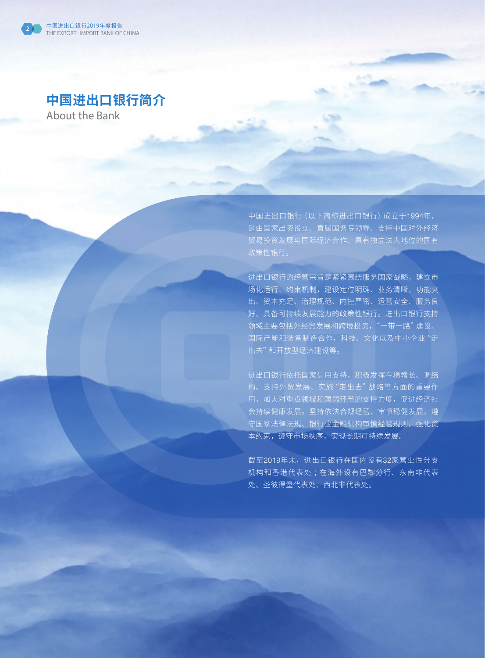

## **中国进出口银行简介**

About the Bank

中国进出口银行(以下简称进出口银行)成立于1994年, 是由国家出资设立、直属国务院领导、支持中国对外经济 贸易投资发展与国际经济合作、具有独立法人地位的国有 政策性银行。

进出口银行的经营宗旨是紧紧围绕服务国家战略,建立市 场化运行、约束机制,建设定位明确、业务清晰、功能突 出、资本充足、治理规范、内控严密、运营安全、服务良 好、具备可持续发展能力的政策性银行。进出口银行支持 领域主要包括外经贸发展和跨境投资, "一带一路"建设、 国际产能和装备制造合作,科技、文化以及中小企业"走 出去"和开放型经济建设等。

进出口银行依托国家信用支持,积极发挥在稳增长、调结 构、支持外贸发展、实施"走出去"战略等方面的重要作 用,加大对重点领域和薄弱环节的支持力度,促进经济社 会持续健康发展。坚持依法合规经营、审慎稳健发展,遵 守国家法律法规、银行业金融机构审慎经营规则,强化资 本约束,遵守市场秩序,实现长期可持续发展。

截至2019年末,进出口银行在国内设有32家营业性分支 机构和香港代表处 ;在海外设有巴黎分行、东南非代表 处、圣彼得堡代表处、西北非代表处。